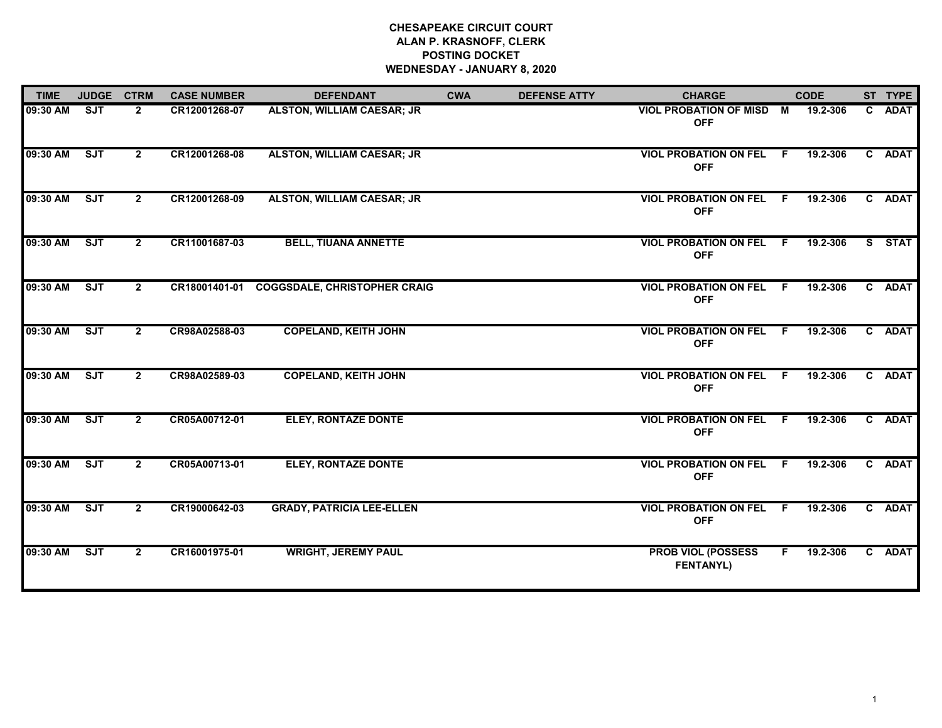# **CHESAPEAKE CIRCUIT COURT ALAN P. KRASNOFF, CLERK POSTING DOCKET WEDNESDAY - JANUARY 8, 2020**

| <b>TIME</b> | <b>JUDGE</b> | <b>CTRM</b>    | <b>CASE NUMBER</b> | <b>DEFENDANT</b>                           | <b>CWA</b> | <b>DEFENSE ATTY</b> | <b>CHARGE</b>                                 |                | <b>CODE</b> |    | ST TYPE     |
|-------------|--------------|----------------|--------------------|--------------------------------------------|------------|---------------------|-----------------------------------------------|----------------|-------------|----|-------------|
| 09:30 AM    | <b>SJT</b>   | $\overline{2}$ | CR12001268-07      | <b>ALSTON, WILLIAM CAESAR; JR</b>          |            |                     | <b>VIOL PROBATION OF MISD</b><br><b>OFF</b>   | $\blacksquare$ | 19.2-306    | C. | <b>ADAT</b> |
| 09:30 AM    | ST           | $\mathbf{2}$   | CR12001268-08      | <b>ALSTON, WILLIAM CAESAR; JR</b>          |            |                     | <b>VIOL PROBATION ON FEL</b><br><b>OFF</b>    | - F            | 19.2-306    |    | C ADAT      |
| 09:30 AM    | ST           | $\mathbf{2}$   | CR12001268-09      | <b>ALSTON, WILLIAM CAESAR; JR</b>          |            |                     | <b>VIOL PROBATION ON FEL</b><br><b>OFF</b>    | F.             | 19.2-306    | C. | <b>ADAT</b> |
| 09:30 AM    | SJT          | $\mathbf{2}$   | CR11001687-03      | <b>BELL, TIUANA ANNETTE</b>                |            |                     | <b>VIOL PROBATION ON FEL F</b><br><b>OFF</b>  |                | 19.2-306    |    | S STAT      |
| 09:30 AM    | ST           | $\mathbf{2}$   |                    | CR18001401-01 COGGSDALE, CHRISTOPHER CRAIG |            |                     | <b>VIOL PROBATION ON FEL F</b><br><b>OFF</b>  |                | 19.2-306    |    | C ADAT      |
| 09:30 AM    | SJT          | $\mathbf{2}$   | CR98A02588-03      | <b>COPELAND, KEITH JOHN</b>                |            |                     | <b>VIOL PROBATION ON FEL F</b><br><b>OFF</b>  |                | 19.2-306    |    | C ADAT      |
| 09:30 AM    | SJT          | $\overline{2}$ | CR98A02589-03      | <b>COPELAND, KEITH JOHN</b>                |            |                     | VIOL PROBATION ON FEL F<br><b>OFF</b>         |                | 19.2-306    |    | C ADAT      |
| 09:30 AM    | ST           | $\mathbf{2}$   | CR05A00712-01      | <b>ELEY, RONTAZE DONTE</b>                 |            |                     | <b>VIOL PROBATION ON FEL F</b><br><b>OFF</b>  |                | 19.2-306    |    | C ADAT      |
| 09:30 AM    | ST           | $\mathbf{2}$   | CR05A00713-01      | <b>ELEY, RONTAZE DONTE</b>                 |            |                     | <b>VIOL PROBATION ON FEL</b><br><b>OFF</b>    | - F            | 19.2-306    |    | C ADAT      |
| 09:30 AM    | SJT          | $\mathbf{2}$   | CR19000642-03      | <b>GRADY, PATRICIA LEE-ELLEN</b>           |            |                     | <b>VIOL PROBATION ON FEL</b><br><b>OFF</b>    | - F            | 19.2-306    |    | C ADAT      |
| 09:30 AM    | SJT          | $\mathbf{2}$   | CR16001975-01      | <b>WRIGHT, JEREMY PAUL</b>                 |            |                     | <b>PROB VIOL (POSSESS</b><br><b>FENTANYL)</b> | F.             | 19.2-306    |    | C ADAT      |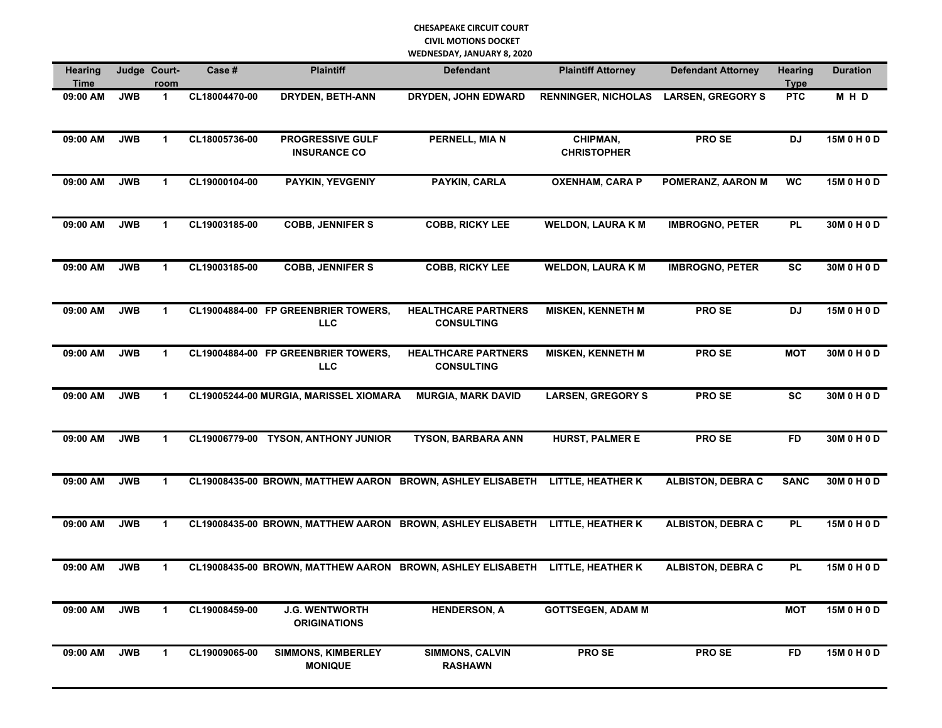| <b>Hearing</b><br>Time |            | Judge Court-<br>room | Case #        | <b>Plaintiff</b>                                           | <b>Defendant</b>                                | <b>Plaintiff Attorney</b>      | <b>Defendant Attorney</b> | Hearing<br><b>Type</b> | <b>Duration</b> |
|------------------------|------------|----------------------|---------------|------------------------------------------------------------|-------------------------------------------------|--------------------------------|---------------------------|------------------------|-----------------|
| 09:00 AM               | <b>JWB</b> | $\mathbf{1}$         | CL18004470-00 | DRYDEN, BETH-ANN                                           | <b>DRYDEN, JOHN EDWARD</b>                      | <b>RENNINGER, NICHOLAS</b>     | <b>LARSEN, GREGORY S</b>  | <b>PTC</b>             | MHD             |
| 09:00 AM               | <b>JWB</b> | $\mathbf{1}$         | CL18005736-00 | PROGRESSIVE GULF<br><b>INSURANCE CO</b>                    | PERNELL, MIA N                                  | CHIPMAN,<br><b>CHRISTOPHER</b> | PRO SE                    | <b>DJ</b>              | 15M 0 H 0 D     |
| 09:00 AM               | <b>JWB</b> | $\mathbf{1}$         | CL19000104-00 | <b>PAYKIN, YEVGENIY</b>                                    | PAYKIN, CARLA                                   | <b>OXENHAM, CARA P</b>         | POMERANZ, AARON M         | <b>WC</b>              | 15M 0 H 0 D     |
| 09:00 AM               | <b>JWB</b> | $\mathbf{1}$         | CL19003185-00 | <b>COBB, JENNIFER S</b>                                    | <b>COBB, RICKY LEE</b>                          | <b>WELDON, LAURA K M</b>       | <b>IMBROGNO, PETER</b>    | <b>PL</b>              | 30M 0 H 0 D     |
| 09:00 AM               | <b>JWB</b> | 1                    | CL19003185-00 | <b>COBB, JENNIFER S</b>                                    | <b>COBB, RICKY LEE</b>                          | <b>WELDON, LAURA K M</b>       | <b>IMBROGNO, PETER</b>    | <b>SC</b>              | 30M 0 H 0 D     |
| 09:00 AM               | <b>JWB</b> | $\mathbf{1}$         |               | CL19004884-00 FP GREENBRIER TOWERS,<br>LLC                 | <b>HEALTHCARE PARTNERS</b><br><b>CONSULTING</b> | <b>MISKEN, KENNETH M</b>       | PRO SE                    | <b>DJ</b>              | 15M 0 H 0 D     |
| 09:00 AM               | <b>JWB</b> | $\mathbf{1}$         |               | CL19004884-00 FP GREENBRIER TOWERS,<br>LLC                 | <b>HEALTHCARE PARTNERS</b><br><b>CONSULTING</b> | <b>MISKEN, KENNETH M</b>       | PRO SE                    | <b>MOT</b>             | 30M 0 H 0 D     |
| 09:00 AM               | <b>JWB</b> | $\mathbf{1}$         |               | CL19005244-00 MURGIA, MARISSEL XIOMARA                     | <b>MURGIA, MARK DAVID</b>                       | <b>LARSEN, GREGORY S</b>       | PRO SE                    | <b>SC</b>              | 30M 0 H 0 D     |
| 09:00 AM               | <b>JWB</b> | 1                    |               | CL19006779-00 TYSON, ANTHONY JUNIOR                        | <b>TYSON, BARBARA ANN</b>                       | <b>HURST, PALMER E</b>         | PRO SE                    | <b>FD</b>              | 30M 0 H 0 D     |
| 09:00 AM               | <b>JWB</b> | 1                    |               | CL19008435-00 BROWN, MATTHEW AARON BROWN, ASHLEY ELISABETH |                                                 | LITTLE, HEATHER K              | <b>ALBISTON, DEBRA C</b>  | <b>SANC</b>            | 30M 0 H 0 D     |
| 09:00 AM               | <b>JWB</b> | 1                    |               | CL19008435-00 BROWN, MATTHEW AARON BROWN, ASHLEY ELISABETH |                                                 | LITTLE, HEATHER K              | <b>ALBISTON, DEBRA C</b>  | <b>PL</b>              | 15M 0 H 0 D     |
| 09:00 AM               | <b>JWB</b> | 1                    |               | CL19008435-00 BROWN, MATTHEW AARON BROWN, ASHLEY ELISABETH |                                                 | LITTLE, HEATHER K              | <b>ALBISTON, DEBRA C</b>  | <b>PL</b>              | 15M 0 H 0 D     |
| 09:00 AM               | <b>JWB</b> | 1                    | CL19008459-00 | <b>J.G. WENTWORTH</b><br><b>ORIGINATIONS</b>               | <b>HENDERSON, A</b>                             | <b>GOTTSEGEN, ADAM M</b>       |                           | <b>MOT</b>             | 15M 0 H 0 D     |
| 09:00 AM               | <b>JWB</b> | $\mathbf{1}$         | CL19009065-00 | <b>SIMMONS, KIMBERLEY</b><br><b>MONIQUE</b>                | <b>SIMMONS, CALVIN</b><br><b>RASHAWN</b>        | PRO SE                         | PRO SE                    | <b>FD</b>              | 15M 0 H 0 D     |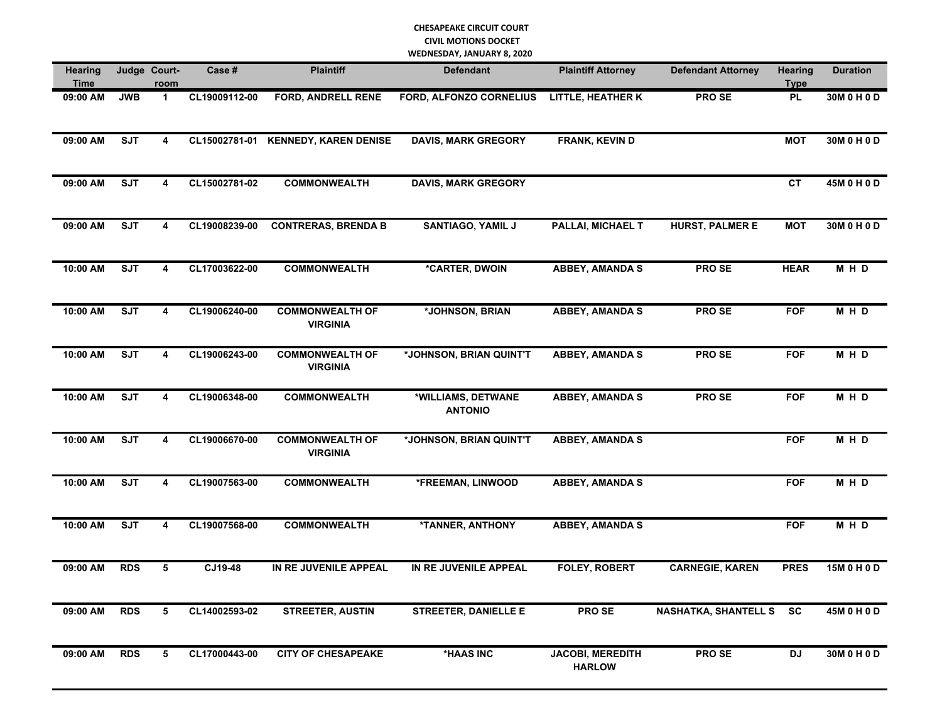| <b>Hearing</b><br>Time |            | Judge Court-<br>room    | Case #        | <b>Plaintiff</b>                          | <b>Defendant</b>                     | <b>Plaintiff Attorney</b>                | <b>Defendant Attorney</b> | Hearing<br><b>Type</b> | <b>Duration</b> |
|------------------------|------------|-------------------------|---------------|-------------------------------------------|--------------------------------------|------------------------------------------|---------------------------|------------------------|-----------------|
| 09:00 AM               | <b>JWB</b> | $\mathbf{1}$            | CL19009112-00 | <b>FORD, ANDRELL RENE</b>                 | FORD, ALFONZO CORNELIUS              | <b>LITTLE, HEATHER K</b>                 | PRO SE                    | <b>PL</b>              | 30M 0 H 0 D     |
| 09:00 AM               | <b>SJT</b> | 4                       |               | CL15002781-01 KENNEDY, KAREN DENISE       | <b>DAVIS, MARK GREGORY</b>           | FRANK, KEVIN D                           |                           | <b>MOT</b>             | 30M 0 H 0 D     |
| 09:00 AM               | <b>SJT</b> | $\overline{\mathbf{4}}$ | CL15002781-02 | <b>COMMONWEALTH</b>                       | <b>DAVIS, MARK GREGORY</b>           |                                          |                           | <b>CT</b>              | 45M 0 H 0 D     |
| 09:00 AM               | <b>SJT</b> | 4                       | CL19008239-00 | <b>CONTRERAS, BRENDA B</b>                | <b>SANTIAGO, YAMIL J</b>             | PALLAI, MICHAEL T                        | <b>HURST, PALMER E</b>    | <b>MOT</b>             | 30M 0 H 0 D     |
| 10:00 AM               | <b>SJT</b> | 4                       | CL17003622-00 | <b>COMMONWEALTH</b>                       | *CARTER, DWOIN                       | <b>ABBEY, AMANDA S</b>                   | PRO SE                    | <b>HEAR</b>            | MHD             |
| 10:00 AM               | <b>SJT</b> | 4                       | CL19006240-00 | <b>COMMONWEALTH OF</b><br><b>VIRGINIA</b> | *JOHNSON, BRIAN                      | <b>ABBEY, AMANDA S</b>                   | <b>PROSE</b>              | <b>FOF</b>             | M H D           |
| 10:00 AM               | <b>SJT</b> | 4                       | CL19006243-00 | <b>COMMONWEALTH OF</b><br><b>VIRGINIA</b> | *JOHNSON, BRIAN QUINT'T              | <b>ABBEY, AMANDA S</b>                   | <b>PROSE</b>              | <b>FOF</b>             | M H D           |
| 10:00 AM               | <b>SJT</b> | 4                       | CL19006348-00 | <b>COMMONWEALTH</b>                       | *WILLIAMS, DETWANE<br><b>ANTONIO</b> | <b>ABBEY, AMANDA S</b>                   | <b>PROSE</b>              | <b>FOF</b>             | M H D           |
| 10:00 AM               | <b>SJT</b> | 4                       | CL19006670-00 | <b>COMMONWEALTH OF</b><br><b>VIRGINIA</b> | *JOHNSON, BRIAN QUINT'T              | <b>ABBEY, AMANDA S</b>                   |                           | <b>FOF</b>             | M H D           |
| 10:00 AM               | <b>SJT</b> | 4                       | CL19007563-00 | <b>COMMONWEALTH</b>                       | *FREEMAN, LINWOOD                    | <b>ABBEY, AMANDA S</b>                   |                           | <b>FOF</b>             | MHD             |
| 10:00 AM               | <b>SJT</b> | 4                       | CL19007568-00 | <b>COMMONWEALTH</b>                       | *TANNER, ANTHONY                     | <b>ABBEY, AMANDA S</b>                   |                           | <b>FOF</b>             | MHD             |
| 09:00 AM               | <b>RDS</b> | 5                       | CJ19-48       | IN RE JUVENILE APPEAL                     | IN RE JUVENILE APPEAL                | <b>FOLEY, ROBERT</b>                     | <b>CARNEGIE, KAREN</b>    | <b>PRES</b>            | 15M 0 H 0 D     |
| 09:00 AM               | <b>RDS</b> | 5                       | CL14002593-02 | <b>STREETER, AUSTIN</b>                   | <b>STREETER, DANIELLE E</b>          | <b>PROSE</b>                             | NASHATKA, SHANTELL S SC   |                        | 45M 0 H 0 D     |
| 09:00 AM               | <b>RDS</b> | 5                       | CL17000443-00 | <b>CITY OF CHESAPEAKE</b>                 | <b>*HAAS INC</b>                     | <b>JACOBI, MEREDITH</b><br><b>HARLOW</b> | <b>PROSE</b>              | DJ                     | 30M 0 H 0 D     |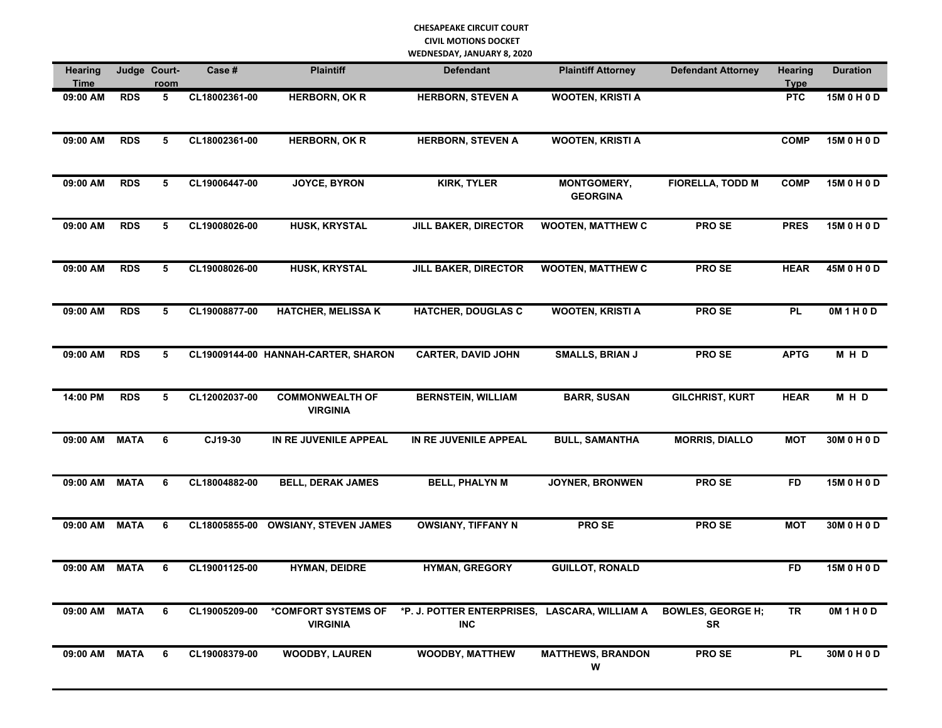| Hearing<br>Time |             | Judge Court-<br><u>room</u> | Case #        | <b>Plaintiff</b>                          | <b>Defendant</b>                                            | <b>Plaintiff Attorney</b>      | <b>Defendant Attorney</b>             | <b>Hearing</b><br><b>Type</b> | <b>Duration</b> |
|-----------------|-------------|-----------------------------|---------------|-------------------------------------------|-------------------------------------------------------------|--------------------------------|---------------------------------------|-------------------------------|-----------------|
| 09:00 AM        | <b>RDS</b>  | 5                           | CL18002361-00 | <b>HERBORN, OK R</b>                      | <b>HERBORN, STEVEN A</b>                                    | <b>WOOTEN, KRISTI A</b>        |                                       | <b>PTC</b>                    | 15M 0 H 0 D     |
| 09:00 AM        | <b>RDS</b>  | 5                           | CL18002361-00 | <b>HERBORN, OK R</b>                      | <b>HERBORN, STEVEN A</b>                                    | <b>WOOTEN, KRISTI A</b>        |                                       | <b>COMP</b>                   | 15M 0 H 0 D     |
| 09:00 AM        | <b>RDS</b>  | 5                           | CL19006447-00 | <b>JOYCE, BYRON</b>                       | <b>KIRK, TYLER</b>                                          | MONTGOMERY,<br><b>GEORGINA</b> | <b>FIORELLA, TODD M</b>               | <b>COMP</b>                   | 15M 0 H 0 D     |
| 09:00 AM        | <b>RDS</b>  | 5                           | CL19008026-00 | <b>HUSK, KRYSTAL</b>                      | <b>JILL BAKER, DIRECTOR</b>                                 | <b>WOOTEN, MATTHEW C</b>       | PRO SE                                | <b>PRES</b>                   | 15M 0 H 0 D     |
| 09:00 AM        | <b>RDS</b>  | 5                           | CL19008026-00 | HUSK, KRYSTAL                             | <b>JILL BAKER, DIRECTOR</b>                                 | <b>WOOTEN, MATTHEW C</b>       | PRO SE                                | <b>HEAR</b>                   | 45M 0 H 0 D     |
| 09:00 AM        | <b>RDS</b>  | 5                           | CL19008877-00 | <b>HATCHER, MELISSA K</b>                 | <b>HATCHER, DOUGLAS C</b>                                   | <b>WOOTEN, KRISTI A</b>        | <b>PROSE</b>                          | <b>PL</b>                     | 0M 1 H 0 D      |
| 09:00 AM        | <b>RDS</b>  | 5                           |               | CL19009144-00 HANNAH-CARTER, SHARON       | <b>CARTER, DAVID JOHN</b>                                   | <b>SMALLS, BRIAN J</b>         | PRO SE                                | <b>APTG</b>                   | MHD             |
| 14:00 PM        | <b>RDS</b>  | 5                           | CL12002037-00 | <b>COMMONWEALTH OF</b><br><b>VIRGINIA</b> | <b>BERNSTEIN, WILLIAM</b>                                   | <b>BARR, SUSAN</b>             | <b>GILCHRIST, KURT</b>                | <b>HEAR</b>                   | MHD             |
| 09:00 AM        | <b>MATA</b> | 6                           | CJ19-30       | IN RE JUVENILE APPEAL                     | IN RE JUVENILE APPEAL                                       | <b>BULL, SAMANTHA</b>          | <b>MORRIS, DIALLO</b>                 | <b>MOT</b>                    | 30M 0 H 0 D     |
| 09:00 AM        | <b>MATA</b> | 6                           | CL18004882-00 | <b>BELL, DERAK JAMES</b>                  | <b>BELL, PHALYN M</b>                                       | JOYNER, BRONWEN                | PRO SE                                | <b>FD</b>                     | 15M 0 H 0 D     |
| 09:00 AM        | <b>MATA</b> | 6                           |               | CL18005855-00 OWSIANY, STEVEN JAMES       | <b>OWSIANY, TIFFANY N</b>                                   | PRO SE                         | PRO SE                                | <b>MOT</b>                    | 30M 0 H 0 D     |
| 09:00 AM        | <b>MATA</b> | 6                           | CL19001125-00 | <b>HYMAN, DEIDRE</b>                      | <b>HYMAN, GREGORY</b>                                       | <b>GUILLOT, RONALD</b>         |                                       | <b>FD</b>                     | 15M 0 H 0 D     |
| 09:00 AM MATA   |             | 6                           | CL19005209-00 | *COMFORT SYSTEMS OF<br><b>VIRGINIA</b>    | *P. J. POTTER ENTERPRISES, LASCARA, WILLIAM A<br><b>INC</b> |                                | <b>BOWLES, GEORGE H;</b><br><b>SR</b> | <b>TR</b>                     | 0M 1 H 0 D      |
| 09:00 AM        | <b>MATA</b> | 6                           | CL19008379-00 | <b>WOODBY, LAUREN</b>                     | WOODBY, MATTHEW                                             | <b>MATTHEWS, BRANDON</b><br>W  | <b>PROSE</b>                          | <b>PL</b>                     | 30M 0 H 0 D     |